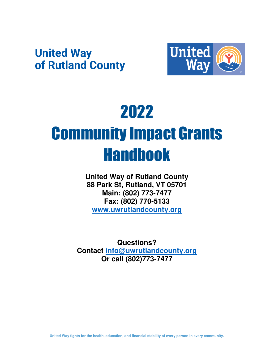## **United Way** of Rutland County



# 2022 Community Impact Grants Handbook

**United Way of Rutland County 88 Park St, Rutland, VT 05701 Main: (802) 773-7477 Fax: (802) 770-5133 [www.uwrutlandcounty.org](http://www.uwrutlandcounty.org/)**

**Questions? Contact [info@uwrutlandcounty.org](mailto:info@uwrutlandcounty.org) Or call (802)773-7477**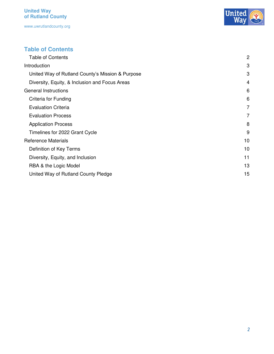

#### <span id="page-1-0"></span>**Table of Contents**

| <b>Table of Contents</b>                         | $\overline{2}$ |
|--------------------------------------------------|----------------|
| Introduction                                     | 3              |
| United Way of Rutland County's Mission & Purpose | 3              |
| Diversity, Equity, & Inclusion and Focus Areas   | $\overline{4}$ |
| <b>General Instructions</b>                      | 6              |
| Criteria for Funding                             | 6              |
| <b>Evaluation Criteria</b>                       | 7              |
| <b>Evaluation Process</b>                        | $\overline{7}$ |
| <b>Application Process</b>                       | 8              |
| Timelines for 2022 Grant Cycle                   | 9              |
| <b>Reference Materials</b>                       | 10             |
| Definition of Key Terms                          | 10             |
| Diversity, Equity, and Inclusion                 | 11             |
| RBA & the Logic Model                            | 13             |
| United Way of Rutland County Pledge              | 15             |
|                                                  |                |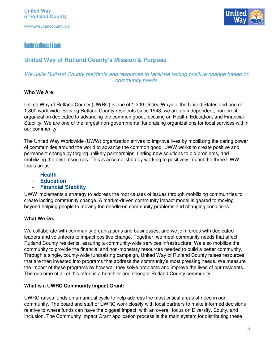

#### <span id="page-2-0"></span>**Introduction**

#### <span id="page-2-1"></span>**United Way of Rutland County's Mission & Purpose**

#### *We unite Rutland County residents and resources to facilitate lasting positive change based on community needs.*

#### **Who We Are:**

United Way of Rutland County (UWRC) is one of 1,200 United Ways in the United States and one of 1,800 worldwide. Serving Rutland County residents since 1943, we are an independent, non-profit organization dedicated to advancing the common good, focusing on Health, Education, and Financial Stability. We are one of the largest non-governmental fundraising organizations for local services within our community.

The United Way Worldwide (UWW) organization strives to improve lives by mobilizing the caring power of communities around the world to advance the common good. UWW works to create positive and permanent change by forging unlikely partnerships, finding new solutions to old problems, and mobilizing the best resources. This is accomplished by working to positively impact the three UWW focus areas:

- **Health**
- **Education**
- **Financial Stability**

UWW implements a strategy to address the root causes of issues through mobilizing communities to create lasting community change. A market-driven community impact model is geared to moving beyond helping people to moving the needle on community problems and changing conditions.

#### **What We Do:**

We collaborate with community organizations and businesses, and we join forces with dedicated leaders and volunteers to impact positive change. Together, we meet community needs that affect Rutland County residents, assuring a community-wide services infrastructure. We also mobilize the community to provide the financial and non-monetary resources needed to build a better community. Through a single, county-wide fundraising campaign, United Way of Rutland County raises resources that are then invested into programs that address the community's most pressing needs. We measure the impact of these programs by how well they solve problems and improve the lives of our residents. The outcome of all of this effort is a healthier and stronger Rutland County community.

#### **What is a UWRC Community Impact Grant:**

UWRC raises funds on an annual cycle to help address the most critical areas of need in our community. The board and staff of UWRC work closely with local partners to make informed decisions relative to where funds can have the biggest impact, with an overall focus on Diversity, Equity, and Inclusion. The Community Impact Grant application process is the main system for distributing these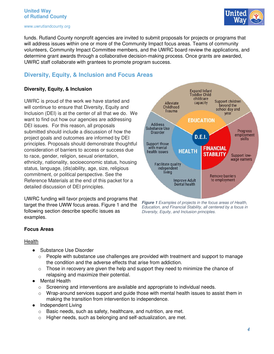#### **United Way of Rutland County**

www.uwrutlandcounty.org



funds. Rutland County nonprofit agencies are invited to submit proposals for projects or programs that will address issues within one or more of the Community Impact focus areas. Teams of community volunteers, Community Impact Committee members, and the UWRC board review the applications, and determine grant awards through a collaborative decision-making process. Once grants are awarded, UWRC staff collaborate with grantees to promote program success.

#### <span id="page-3-0"></span>**Diversity, Equity, & Inclusion and Focus Areas**

#### **Diversity, Equity, & Inclusion**

UWRC is proud of the work we have started and will continue to ensure that Diversity, Equity and Inclusion (DEI) is at the center of all that we do. We want to find out how our agencies are addressing DEI issues. For this reason, all proposals submitted should include a discussion of how the project goals and outcomes are informed by DEI principles. Proposals should demonstrate thoughtful consideration of barriers to access or success due to race, gender, religion, sexual orientation, ethnicity, nationality, socioeconomic status, housing status, language, (dis)ability, age, size, religious commitment, or political perspective. See the Reference Materials at the end of this packet for a detailed discussion of DEI principles.

UWRC funding will favor projects and programs that target the three UWW focus areas. Figure 1 and the following section describe specific issues as examples.



*Figure 1 Examples of projects in the focus areas of Health, Education, and Financial Stability, all centered by a focus in Diversity, Equity, and Inclusion principles.*

#### **Focus Areas**

#### Health

- Substance Use Disorder
	- $\circ$  People with substance use challenges are provided with treatment and support to manage the condition and the adverse effects that arise from addiction.
	- $\circ$  Those in recovery are given the help and support they need to minimize the chance of relapsing and maximize their potential.
- Mental Health
	- $\circ$  Screening and interventions are available and appropriate to individual needs.
	- $\circ$  Wrap-around services support and quide those with mental health issues to assist them in making the transition from intervention to independence.
- Independent Living
	- o Basic needs, such as safety, healthcare, and nutrition, are met.
	- o Higher needs, such as belonging and self-actualization, are met.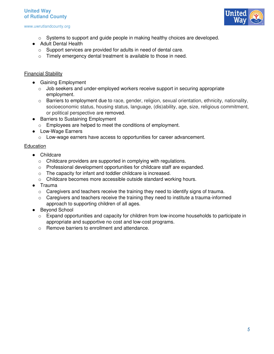#### **United Way of Rutland County**

#### www.uwrutlandcounty.org



- o Systems to support and guide people in making healthy choices are developed.
- Adult Dental Health
	- o Support services are provided for adults in need of dental care.
	- o Timely emergency dental treatment is available to those in need.

#### **Financial Stability**

- Gaining Employment
	- $\circ$  Job seekers and under-employed workers receive support in securing appropriate employment.
	- o Barriers to employment due to race, gender, religion, sexual orientation, ethnicity, nationality, socioeconomic status, housing status, language, (dis)ability, age, size, religious commitment, or political perspective are removed.
- Barriers to Sustaining Employment
	- o Employees are helped to meet the conditions of employment.
- Low-Wage Earners
	- o Low-wage earners have access to opportunities for career advancement.

#### **Education**

- Childcare
	- o Childcare providers are supported in complying with regulations.
	- o Professional development opportunities for childcare staff are expanded.
	- o The capacity for infant and toddler childcare is increased.
	- o Childcare becomes more accessible outside standard working hours.
- Trauma
	- o Caregivers and teachers receive the training they need to identify signs of trauma.
	- $\circ$  Caregivers and teachers receive the training they need to institute a trauma-informed approach to supporting children of all ages.
- Beyond School
	- $\circ$  Expand opportunities and capacity for children from low-income households to participate in appropriate and supportive no cost and low-cost programs.
	- o Remove barriers to enrollment and attendance.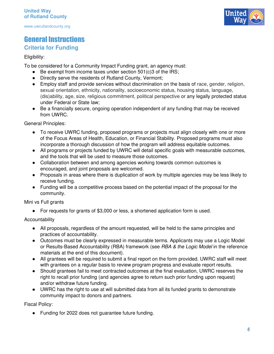### <span id="page-5-0"></span>General Instructions

#### <span id="page-5-1"></span>**Criteria for Funding**

#### Eligibility:

To be considered for a Community Impact Funding grant, an agency must:

- $\bullet$  Be exempt from income taxes under section 501(c)3 of the IRS;
- Directly serve the residents of Rutland County, Vermont;
- Employ staff and provide services without discrimination on the basis of race, gender, religion, sexual orientation, ethnicity, nationality, socioeconomic status, housing status, language, (dis)ability, age, size, religious commitment, political perspective or any legally protected status under Federal or State law;
- Be a financially secure, ongoing operation independent of any funding that may be received from UWRC.

General Principles:

- To receive UWRC funding, proposed programs or projects must align closely with one or more of the Focus Areas of Health, Education, or Financial Stability. Proposed programs must also incorporate a thorough discussion of how the program will address equitable outcomes.
- All programs or projects funded by UWRC will detail specific goals with measurable outcomes, and the tools that will be used to measure those outcomes.
- Collaboration between and among agencies working towards common outcomes is encouraged, and joint proposals are welcomed.
- Proposals in areas where there is duplication of work by multiple agencies may be less likely to receive funding.
- Funding will be a competitive process based on the potential impact of the proposal for the community.

Mini vs Full grants

● For requests for grants of \$3,000 or less, a shortened application form is used.

**Accountability** 

- All proposals, regardless of the amount requested, will be held to the same principles and practices of accountability.
- Outcomes must be clearly expressed in measurable terms. Applicants may use a Logic Model or Results-Based Accountability (RBA) framework (see *RBA & the Logic Model* in the reference materials at the end of this document).
- All grantees will be required to submit a final report on the form provided. UWRC staff will meet with grantees on a regular basis to review program progress and evaluate report results.
- Should grantees fail to meet contracted outcomes at the final evaluation, UWRC reserves the right to recall prior funding (and agencies agree to return such prior funding upon request) and/or withdraw future funding.
- UWRC has the right to use at will submitted data from all its funded grants to demonstrate community impact to donors and partners.

Fiscal Policy:

● Funding for 2022 does not guarantee future funding.

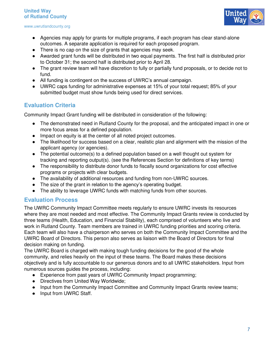

- Agencies may apply for grants for multiple programs, if each program has clear stand-alone outcomes. A separate application is required for each proposed program.
- There is no cap on the size of grants that agencies may seek.
- Awarded grant funds will be distributed in two equal payments. The first half is distributed prior to October 31; the second half is distributed prior to April 28.
- The grant review team will have discretion to fully or partially fund proposals, or to decide not to fund.
- All funding is contingent on the success of UWRC's annual campaign.
- UWRC caps funding for administrative expenses at 15% of your total request; 85% of your submitted budget must show funds being used for direct services.

#### <span id="page-6-0"></span>**Evaluation Criteria**

Community Impact Grant funding will be distributed in consideration of the following:

- The demonstrated need in Rutland County for the proposal, and the anticipated impact in one or more focus areas for a defined population.
- Impact on equity is at the center of all noted project outcomes.
- The likelihood for success based on a clear, realistic plan and alignment with the mission of the applicant agency (or agencies).
- The potential outcome(s) to a defined population based on a well thought out system for tracking and reporting output(s). (see the References Section for definitions of key terms)
- The responsibility to distribute donor funds to fiscally sound organizations for cost effective programs or projects with clear budgets.
- The availability of additional resources and funding from non-UWRC sources.
- The size of the grant in relation to the agency's operating budget.
- The ability to leverage UWRC funds with matching funds from other sources.

#### <span id="page-6-1"></span>**Evaluation Process**

The UWRC Community Impact Committee meets regularly to ensure UWRC invests its resources where they are most needed and most effective. The Community Impact Grants review is conducted by three teams (Health, Education, and Financial Stability), each comprised of volunteers who live and work in Rutland County. Team members are trained in UWRC funding priorities and scoring criteria. Each team will also have a chairperson who serves on both the Community Impact Committee and the UWRC Board of Directors. This person also serves as liaison with the Board of Directors for final decision making on funding.

The UWRC Board is charged with making tough funding decisions for the good of the whole community, and relies heavily on the input of these teams. The Board makes these decisions objectively and is fully accountable to our generous donors and to all UWRC stakeholders. Input from numerous sources guides the process, including:

- Experience from past years of UWRC Community Impact programming;
- Directives from United Way Worldwide;
- Input from the Community Impact Committee and Community Impact Grants review teams;
- Input from UWRC Staff.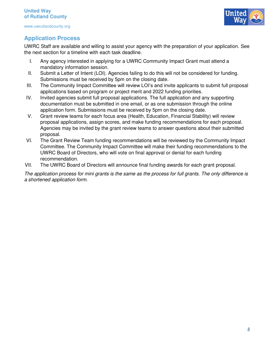

#### <span id="page-7-0"></span>**Application Process**

UWRC Staff are available and willing to assist your agency with the preparation of your application. See the next section for a timeline with each task deadline.

- I. Any agency interested in applying for a UWRC Community Impact Grant must attend a mandatory information session.
- II. Submit a Letter of Intent (LOI). Agencies failing to do this will not be considered for funding. Submissions must be received by 5pm on the closing date.
- III. The Community Impact Committee will review LOI's and invite applicants to submit full proposal applications based on program or project merit and 2022 funding priorities.
- IV. Invited agencies submit full proposal applications. The full application and any supporting documentation must be submitted in one email, or as one submission through the online application form. Submissions must be received by 5pm on the closing date.
- V. Grant review teams for each focus area (Health, Education, Financial Stability) will review proposal applications, assign scores, and make funding recommendations for each proposal. Agencies may be invited by the grant review teams to answer questions about their submitted proposal.
- VI. The Grant Review Team funding recommendations will be reviewed by the Community Impact Committee. The Community Impact Committee will make their funding recommendations to the UWRC Board of Directors, who will vote on final approval or denial for each funding recommendation.
- VII. The UWRC Board of Directors will announce final funding awards for each grant proposal.

*The application process for mini grants is the same as the process for full grants. The only difference is a shortened application form.*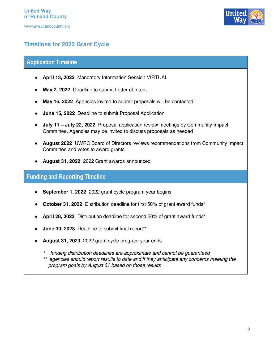

#### <span id="page-8-0"></span>**Timelines for 2022 Grant Cycle**

#### **Application Timeline**

- **April 13, 2022** Mandatory Information Session VIRTUAL
- **May 2, 2022** Deadline to submit Letter of Intent
- **May 16, 2022** Agencies invited to submit proposals will be contacted
- **June 15, 2022** Deadline to submit Proposal Application
- **July 11 – July 22, 2022** Proposal application review meetings by Community Impact Committee. Agencies may be invited to discuss proposals as needed
- **August 2022** UWRC Board of Directors reviews recommendations from Community Impact Committee and votes to award grants
- **August 31, 2022** 2022 Grant awards announced

#### **Funding and Reporting Timeline**

- **September 1, 2022** 2022 grant cycle program year begins
- **October 31, 2022** Distribution deadline for first 50% of grant award funds<sup>\*</sup>
- **April 28, 2023** Distribution deadline for second 50% of grant award funds\*
- **June 30, 2023** Deadline to submit final report\*\*
- **August 31, 2023** 2022 grant cycle program year ends
	- funding distribution deadlines are approximate and cannot be guaranteed
	- *\*\* agencies should report results to date and if they anticipate any concerns meeting the program goals by August 31 based on those results*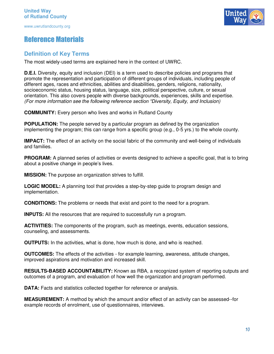#### <span id="page-9-0"></span>Reference Materials

#### <span id="page-9-1"></span>**Definition of Key Terms**

The most widely-used terms are explained here in the context of UWRC.

**D.E.I.** Diversity, equity and inclusion (DEI) is a term used to describe policies and programs that promote the representation and participation of different groups of individuals, including people of different ages, races and ethnicities, abilities and disabilities, genders, religions, nationality, socioeconomic status, housing status, language, size, political perspective, culture, or sexual orientation. This also covers people with diverse backgrounds, experiences, skills and expertise. *(For more information see the following reference section "Diversity, Equity, and Inclusion)* 

**COMMUNITY:** Every person who lives and works in Rutland County

**POPULATION:** The people served by a particular program as defined by the organization implementing the program; this can range from a specific group (e.g., 0-5 yrs.) to the whole county.

**IMPACT:** The effect of an activity on the social fabric of the community and well-being of individuals and families.

**PROGRAM:** A planned series of activities or events designed to achieve a specific goal, that is to bring about a positive change in people's lives.

**MISSION:** The purpose an organization strives to fulfill.

**LOGIC MODEL:** A planning tool that provides a step-by-step guide to program design and implementation.

**CONDITIONS:** The problems or needs that exist and point to the need for a program.

**INPUTS:** All the resources that are required to successfully run a program.

**ACTIVITIES:** The components of the program, such as meetings, events, education sessions, counseling, and assessments.

**OUTPUTS:** In the activities, what is done, how much is done, and who is reached.

**OUTCOMES:** The effects of the activities - for example learning, awareness, attitude changes, improved aspirations and motivation and increased skill.

**RESULTS-BASED ACCOUNTABILITY:** Known as RBA, a recognized system of reporting outputs and outcomes of a program, and evaluation of how well the organization and program performed.

**DATA:** Facts and statistics collected together for reference or analysis.

**MEASUREMENT:** A method by which the amount and/or effect of an activity can be assessed--for example records of enrolment, use of questionnaires, interviews.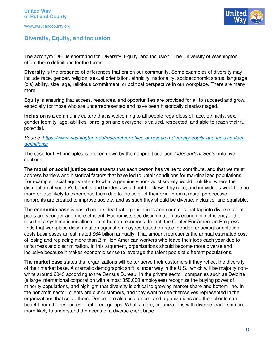

#### <span id="page-10-0"></span>**Diversity, Equity, and Inclusion**

The acronym 'DEI' is shorthand for 'Diversity, Equity, and Inclusion.' The University of Washington offers these definitions for the terms:

**Diversity** is the presence of differences that enrich our community. Some examples of diversity may include race, gender, religion, sexual orientation, ethnicity, nationality, socioeconomic status, language, (dis) ability, size, age, religious commitment, or political perspective in our workplace. There are many more.

**Equity** is ensuring that access, resources, and opportunities are provided for all to succeed and grow, especially for those who are underrepresented and have been historically disadvantaged.

**Inclusion** is a community culture that is welcoming to all people regardless of race, ethnicity, sex, gender identity, age, abilities, or religion and everyone is valued, respected, and able to reach their full potential.

#### *Source: [https://www.washington.edu/research/or/office-of-research-diversity-equity-and-inclusion/dei](https://www.washington.edu/research/or/office-of-research-diversity-equity-and-inclusion/dei-definitions/)[definitions/](https://www.washington.edu/research/or/office-of-research-diversity-equity-and-inclusion/dei-definitions/)*

The case for DEI principles is broken down by the nonprofit coalition *Independent Sector* into five sections:

The **moral or social justice case** asserts that each person has value to contribute, and that we must address barriers and historical factors that have led to unfair conditions for marginalized populations. For example, racial equity refers to what a genuinely non-racist society would look like, where the distribution of society's benefits and burdens would not be skewed by race, and individuals would be no more or less likely to experience them due to the color of their skin. From a moral perspective, nonprofits are created to improve society, and as such they should be diverse, inclusive, and equitable.

The **economic case** is based on the idea that organizations and countries that tap into diverse talent pools are stronger and more efficient. Economists see discrimination as economic inefficiency – the result of a systematic misallocation of human resources. In fact, the Center For American Progress finds that workplace discrimination against employees based on race, gender, or sexual orientation costs businesses an estimated \$64 billion annually. That amount represents the annual estimated cost of losing and replacing more than 2 million American workers who leave their jobs each year due to unfairness and discrimination. In this argument, organizations should become more diverse and inclusive because it makes economic sense to leverage the talent pools of different populations.

The **market case** states that organizations will better serve their customers if they reflect the diversity of their market base. A dramatic demographic shift is under way in the U.S., which will be majority nonwhite around 2043 according to the Census Bureau. In the private sector, companies such as Deloitte (a large international corporation with almost 350,000 employees) recognize the buying power of minority populations, and highlight that diversity is critical to growing market share and bottom line. In the nonprofit sector, clients are our customers, and they want to see themselves represented in the organizations that serve them. Donors are also customers, and organizations and their clients can benefit from the resources of different groups. What's more, organizations with diverse leadership are more likely to understand the needs of a diverse client base.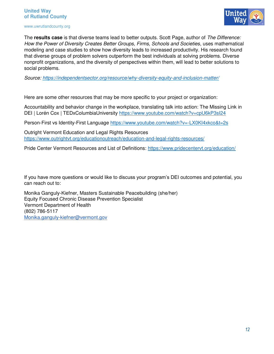#### **United Way of Rutland County**

#### www.uwrutlandcounty.org



The **results case** is that diverse teams lead to better outputs. Scott Page, author of *The Difference: How the Power of Diversity Creates Better Groups, Firms, Schools and Societies*, uses mathematical modeling and case studies to show how diversity leads to increased productivity. His research found that diverse groups of problem solvers outperform the best individuals at solving problems. Diverse nonprofit organizations, and the diversity of perspectives within them, will lead to better solutions to social problems.

*Source:<https://independentsector.org/resource/why-diversity-equity-and-inclusion-matter/>*

Here are some other resources that may be more specific to your project or organization:

Accountability and behavior change in the workplace, translating talk into action: The Missing Link in DEI | Lorén Cox | TEDxColumbiaUniversity<https://www.youtube.com/watch?v=cpU6kP3sI24>

Person-First vs Identity-First Language https://www.youtube.com/watch?v=-LX0KI4xkco&t=2s

Outright Vermont Education and Legal Rights Resources <https://www.outrightvt.org/educationoutreach/education-and-legal-rights-resources/>

Pride Center Vermont Resources and List of Definitions:<https://www.pridecentervt.org/education/>

If you have more questions or would like to discuss your program's DEI outcomes and potential, you can reach out to:

Monika Ganguly-Kiefner, Masters Sustainable Peacebuilding (she/her) Equity Focused Chronic Disease Prevention Specialist Vermont Department of Health (802) 786-5117 [Monika.ganguly-kiefner@vermont.gov](mailto:Monika.ganguly-kiefner@vermont.gov)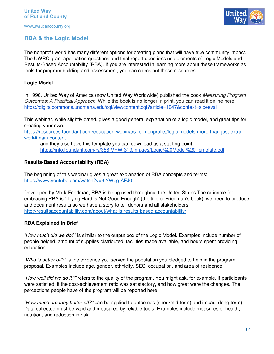#### <span id="page-12-0"></span>**RBA & the Logic Model**

The nonprofit world has many different options for creating plans that will have true community impact. The UWRC grant application questions and final report questions use elements of Logic Models and Results-Based Accountability (RBA). If you are interested in learning more about these frameworks as tools for program building and assessment, you can check out these resources:

#### **Logic Model**

In 1996, United Way of America (now United Way Worldwide) published the book *Measuring Program Outcomes: A Practical Approach*. While the book is no longer in print, you can read it online here: <https://digitalcommons.unomaha.edu/cgi/viewcontent.cgi?article=1047&context=slceeval>

This webinar, while slightly dated, gives a good general explanation of a logic model, and great tips for creating your own:

[https://resources.foundant.com/education-webinars-for-nonprofits/logic-models-more-than-just-extra](https://resources.foundant.com/education-webinars-for-nonprofits/logic-models-more-than-just-extra-work#main-content)[work#main-content](https://resources.foundant.com/education-webinars-for-nonprofits/logic-models-more-than-just-extra-work#main-content)

and they also have this template you can download as a starting point: <https://info.foundant.com/rs/356-VHW-319/images/Logic%20Model%20Template.pdf>

#### **Results-Based Accountability (RBA)**

The beginning of this webinar gives a great explanation of RBA concepts and terms: <https://www.youtube.com/watch?v=9IYWeg-AFJ0>

Developed by Mark Friedman, RBA is being used throughout the United States The rationale for embracing RBA is "Trying Hard is Not Good Enough" (the title of Friedman's book); we need to produce and document results so we have a story to tell donors and all stakeholders. <http://resultsaccountability.com/about/what-is-results-based-accountability/>

#### **RBA Explained in Brief**

*"How much did we do?"* is similar to the output box of the Logic Model. Examples include number of people helped, amount of supplies distributed, facilities made available, and hours spent providing education.

*"Who is better off?"* is the evidence you served the population you pledged to help in the program proposal. Examples include age, gender, ethnicity, SES, occupation, and area of residence.

*"How well did we do it?"* refers to the quality of the program. You might ask, for example, if participants were satisfied, if the cost-achievement ratio was satisfactory, and how great were the changes. The perceptions people have of the program will be reported here.

*"How much are they better off?"* can be applied to outcomes (short/mid-term) and impact (long-term). Data collected must be valid and measured by reliable tools. Examples include measures of health, nutrition, and reduction in risk.

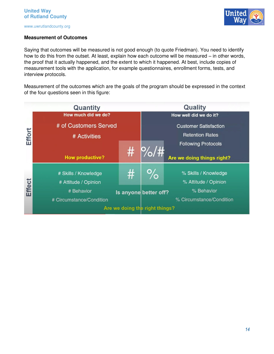#### **Measurement of Outcomes**

Saying that outcomes will be measured is not good enough (to quote Friedman). You need to identify how to do this from the outset. At least, explain how each outcome will be measured – in other words, the proof that it actually happened, and the extent to which it happened. At best, include copies of measurement tools with the application, for example questionnaires, enrollment forms, tests, and interview protocols.

Measurement of the outcomes which are the goals of the program should be expressed in the context of the four questions seen in this figure:

|               | Quantity                       |      |                              | <b>Quality</b>             |  |
|---------------|--------------------------------|------|------------------------------|----------------------------|--|
|               | How much did we do?            |      |                              | How well did we do it?     |  |
| Effort        | # of Customers Served          |      | <b>Customer Satisfaction</b> |                            |  |
|               | # Activities                   |      | <b>Retention Rates</b>       |                            |  |
|               |                                |      |                              | <b>Following Protocols</b> |  |
|               | <b>How productive?</b>         | #    | P/0/#                        | Are we doing things right? |  |
|               | # Skills / Knowledge           | $\#$ | %                            | % Skills / Knowledge       |  |
| <b>Effect</b> | # Attitude / Opinion           |      |                              | % Attitude / Opinion       |  |
|               | # Behavior                     |      | Is anyone better off?        | % Behavior                 |  |
|               | # Circumstance/Condition       |      |                              | % Circumstance/Condition   |  |
|               | Are we doing the right things? |      |                              |                            |  |